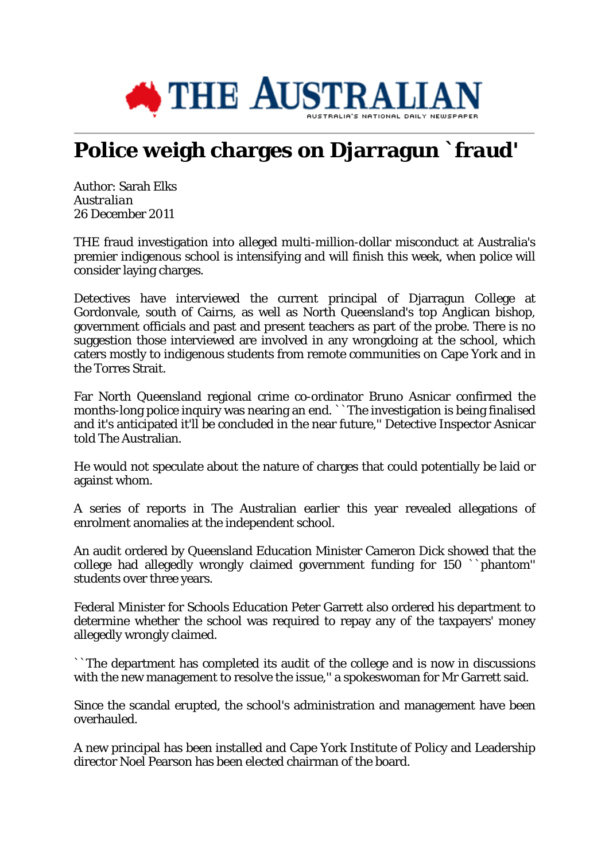

## **Police weigh charges on Djarragun `fraud'**

Author: Sarah Elks *Australian* 26 December 2011

THE fraud investigation into alleged multi-million-dollar misconduct at Australia's premier indigenous school is intensifying and will finish this week, when police will consider laying charges.

Detectives have interviewed the current principal of Djarragun College at Gordonvale, south of Cairns, as well as North Queensland's top Anglican bishop, government officials and past and present teachers as part of the probe. There is no suggestion those interviewed are involved in any wrongdoing at the school, which caters mostly to indigenous students from remote communities on Cape York and in the Torres Strait.

Far North Queensland regional crime co-ordinator Bruno Asnicar confirmed the months-long police inquiry was nearing an end. ``The investigation is being finalised and it's anticipated it'll be concluded in the near future,'' Detective Inspector Asnicar told The Australian.

He would not speculate about the nature of charges that could potentially be laid or against whom.

A series of reports in The Australian earlier this year revealed allegations of enrolment anomalies at the independent school.

An audit ordered by Queensland Education Minister Cameron Dick showed that the college had allegedly wrongly claimed government funding for 150 ``phantom'' students over three years.

Federal Minister for Schools Education Peter Garrett also ordered his department to determine whether the school was required to repay any of the taxpayers' money allegedly wrongly claimed.

``The department has completed its audit of the college and is now in discussions with the new management to resolve the issue," a spokeswoman for Mr Garrett said.

Since the scandal erupted, the school's administration and management have been overhauled.

A new principal has been installed and Cape York Institute of Policy and Leadership director Noel Pearson has been elected chairman of the board.